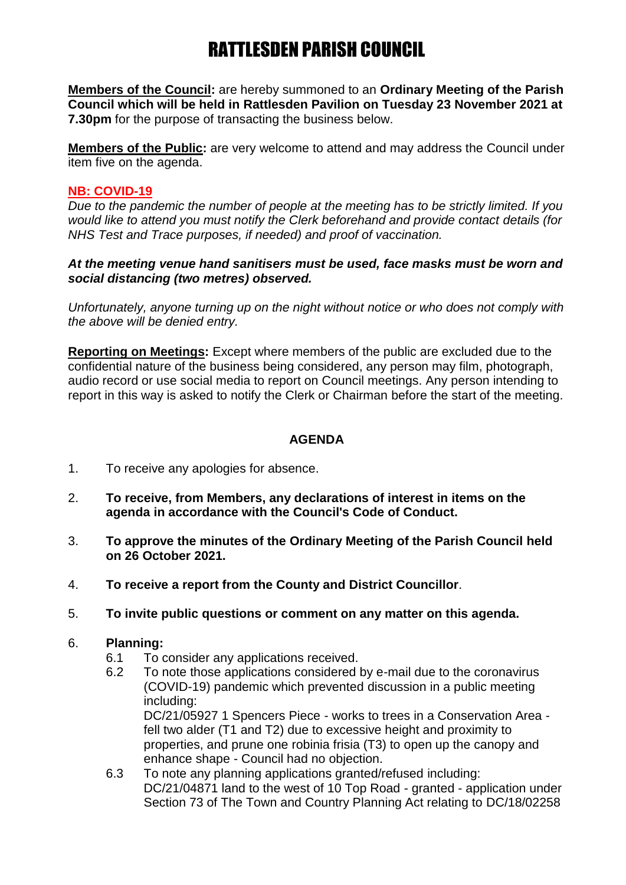# RATTLESDEN PARISH COUNCIL

**Members of the Council:** are hereby summoned to an **Ordinary Meeting of the Parish Council which will be held in Rattlesden Pavilion on Tuesday 23 November 2021 at 7.30pm** for the purpose of transacting the business below.

**Members of the Public:** are very welcome to attend and may address the Council under item five on the agenda.

### **NB: COVID-19**

*Due to the pandemic the number of people at the meeting has to be strictly limited. If you would like to attend you must notify the Clerk beforehand and provide contact details (for NHS Test and Trace purposes, if needed) and proof of vaccination.*

### *At the meeting venue hand sanitisers must be used, face masks must be worn and social distancing (two metres) observed.*

*Unfortunately, anyone turning up on the night without notice or who does not comply with the above will be denied entry.*

**Reporting on Meetings:** Except where members of the public are excluded due to the confidential nature of the business being considered, any person may film, photograph, audio record or use social media to report on Council meetings. Any person intending to report in this way is asked to notify the Clerk or Chairman before the start of the meeting.

### **AGENDA**

- 1. To receive any apologies for absence.
- 2. **To receive, from Members, any declarations of interest in items on the agenda in accordance with the Council's Code of Conduct.**
- 3. **To approve the minutes of the Ordinary Meeting of the Parish Council held on 26 October 2021.**
- 4. **To receive a report from the County and District Councillor**.
- 5. **To invite public questions or comment on any matter on this agenda.**
- 6. **Planning:**
	- 6.1 To consider any applications received.
	- 6.2 To note those applications considered by e-mail due to the coronavirus (COVID-19) pandemic which prevented discussion in a public meeting including:

DC/21/05927 1 Spencers Piece - works to trees in a Conservation Area fell two alder (T1 and T2) due to excessive height and proximity to properties, and prune one robinia frisia (T3) to open up the canopy and enhance shape - Council had no objection.

6.3 To note any planning applications granted/refused including: DC/21/04871 land to the west of 10 Top Road - granted - application under Section 73 of The Town and Country Planning Act relating to DC/18/02258